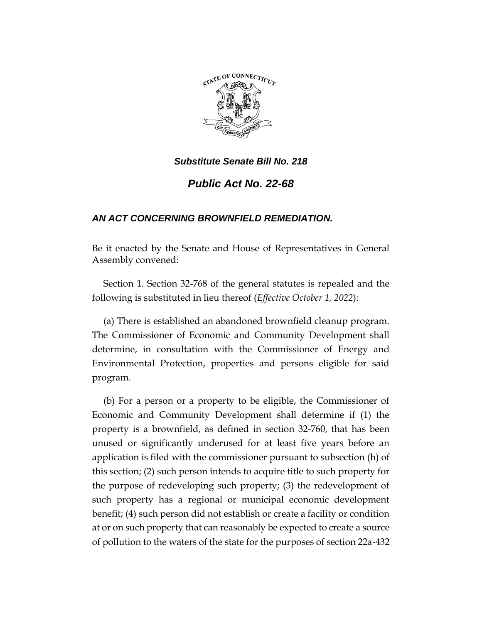

## *Public Act No. 22-68*

## *AN ACT CONCERNING BROWNFIELD REMEDIATION.*

Be it enacted by the Senate and House of Representatives in General Assembly convened:

Section 1. Section 32-768 of the general statutes is repealed and the following is substituted in lieu thereof (*Effective October 1, 2022*):

(a) There is established an abandoned brownfield cleanup program. The Commissioner of Economic and Community Development shall determine, in consultation with the Commissioner of Energy and Environmental Protection, properties and persons eligible for said program.

(b) For a person or a property to be eligible, the Commissioner of Economic and Community Development shall determine if (1) the property is a brownfield, as defined in section 32-760, that has been unused or significantly underused for at least five years before an application is filed with the commissioner pursuant to subsection (h) of this section; (2) such person intends to acquire title to such property for the purpose of redeveloping such property; (3) the redevelopment of such property has a regional or municipal economic development benefit; (4) such person did not establish or create a facility or condition at or on such property that can reasonably be expected to create a source of pollution to the waters of the state for the purposes of section 22a-432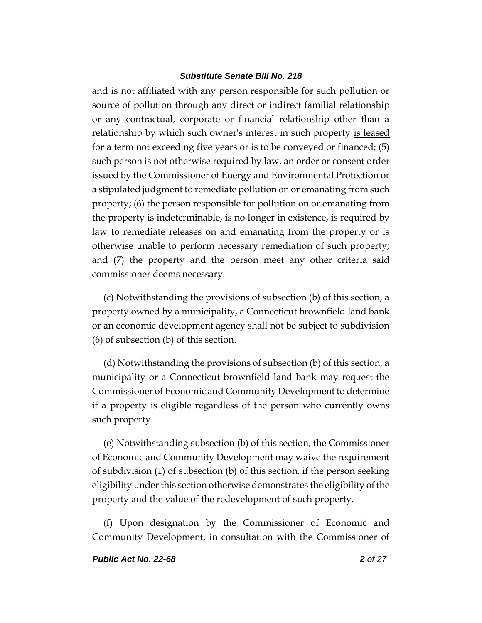and is not affiliated with any person responsible for such pollution or source of pollution through any direct or indirect familial relationship or any contractual, corporate or financial relationship other than a relationship by which such owner's interest in such property is leased for a term not exceeding five years or is to be conveyed or financed; (5) such person is not otherwise required by law, an order or consent order issued by the Commissioner of Energy and Environmental Protection or a stipulated judgment to remediate pollution on or emanating from such property; (6) the person responsible for pollution on or emanating from the property is indeterminable, is no longer in existence, is required by law to remediate releases on and emanating from the property or is otherwise unable to perform necessary remediation of such property; and (7) the property and the person meet any other criteria said commissioner deems necessary.

(c) Notwithstanding the provisions of subsection (b) of this section, a property owned by a municipality, a Connecticut brownfield land bank or an economic development agency shall not be subject to subdivision (6) of subsection (b) of this section.

(d) Notwithstanding the provisions of subsection (b) of this section, a municipality or a Connecticut brownfield land bank may request the Commissioner of Economic and Community Development to determine if a property is eligible regardless of the person who currently owns such property.

(e) Notwithstanding subsection (b) of this section, the Commissioner of Economic and Community Development may waive the requirement of subdivision (1) of subsection (b) of this section, if the person seeking eligibility under this section otherwise demonstrates the eligibility of the property and the value of the redevelopment of such property.

(f) Upon designation by the Commissioner of Economic and Community Development, in consultation with the Commissioner of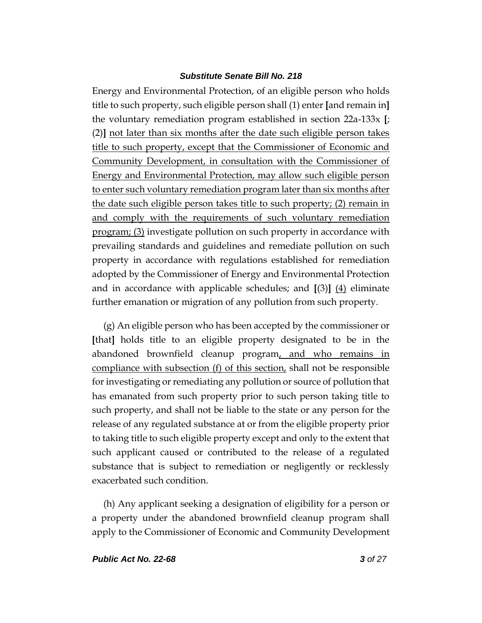Energy and Environmental Protection, of an eligible person who holds title to such property, such eligible person shall (1) enter **[**and remain in**]** the voluntary remediation program established in section 22a-133x **[**; (2)**]** not later than six months after the date such eligible person takes title to such property, except that the Commissioner of Economic and Community Development, in consultation with the Commissioner of Energy and Environmental Protection, may allow such eligible person to enter such voluntary remediation program later than six months after the date such eligible person takes title to such property; (2) remain in and comply with the requirements of such voluntary remediation program; (3) investigate pollution on such property in accordance with prevailing standards and guidelines and remediate pollution on such property in accordance with regulations established for remediation adopted by the Commissioner of Energy and Environmental Protection and in accordance with applicable schedules; and  $\left[\frac{3}{4}\right] \left[\frac{4}{4}\right]$  eliminate further emanation or migration of any pollution from such property.

(g) An eligible person who has been accepted by the commissioner or **[**that**]** holds title to an eligible property designated to be in the abandoned brownfield cleanup program, and who remains in compliance with subsection (f) of this section, shall not be responsible for investigating or remediating any pollution or source of pollution that has emanated from such property prior to such person taking title to such property, and shall not be liable to the state or any person for the release of any regulated substance at or from the eligible property prior to taking title to such eligible property except and only to the extent that such applicant caused or contributed to the release of a regulated substance that is subject to remediation or negligently or recklessly exacerbated such condition.

(h) Any applicant seeking a designation of eligibility for a person or a property under the abandoned brownfield cleanup program shall apply to the Commissioner of Economic and Community Development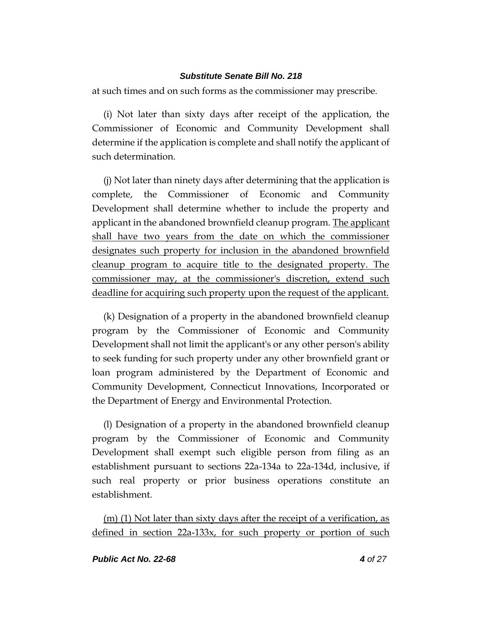at such times and on such forms as the commissioner may prescribe.

(i) Not later than sixty days after receipt of the application, the Commissioner of Economic and Community Development shall determine if the application is complete and shall notify the applicant of such determination.

(j) Not later than ninety days after determining that the application is complete, the Commissioner of Economic and Community Development shall determine whether to include the property and applicant in the abandoned brownfield cleanup program. The applicant shall have two years from the date on which the commissioner designates such property for inclusion in the abandoned brownfield cleanup program to acquire title to the designated property. The commissioner may, at the commissioner's discretion, extend such deadline for acquiring such property upon the request of the applicant.

(k) Designation of a property in the abandoned brownfield cleanup program by the Commissioner of Economic and Community Development shall not limit the applicant's or any other person's ability to seek funding for such property under any other brownfield grant or loan program administered by the Department of Economic and Community Development, Connecticut Innovations, Incorporated or the Department of Energy and Environmental Protection.

(l) Designation of a property in the abandoned brownfield cleanup program by the Commissioner of Economic and Community Development shall exempt such eligible person from filing as an establishment pursuant to sections 22a-134a to 22a-134d, inclusive, if such real property or prior business operations constitute an establishment.

(m) (1) Not later than sixty days after the receipt of a verification, as defined in section 22a-133x, for such property or portion of such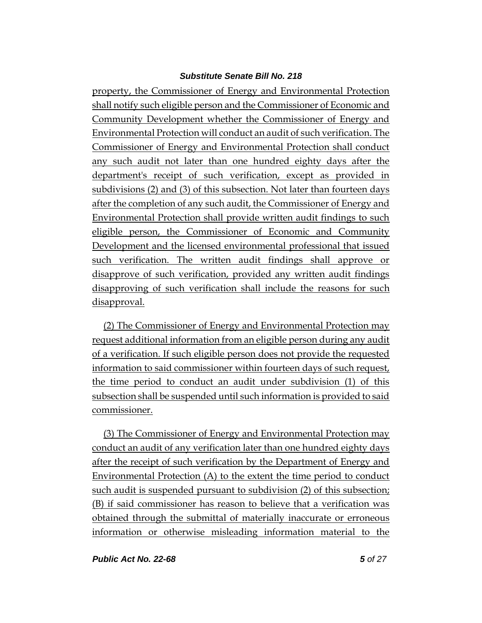property, the Commissioner of Energy and Environmental Protection shall notify such eligible person and the Commissioner of Economic and Community Development whether the Commissioner of Energy and Environmental Protection will conduct an audit of such verification. The Commissioner of Energy and Environmental Protection shall conduct any such audit not later than one hundred eighty days after the department's receipt of such verification, except as provided in subdivisions (2) and (3) of this subsection. Not later than fourteen days after the completion of any such audit, the Commissioner of Energy and Environmental Protection shall provide written audit findings to such eligible person, the Commissioner of Economic and Community Development and the licensed environmental professional that issued such verification. The written audit findings shall approve or disapprove of such verification, provided any written audit findings disapproving of such verification shall include the reasons for such disapproval.

(2) The Commissioner of Energy and Environmental Protection may request additional information from an eligible person during any audit of a verification. If such eligible person does not provide the requested information to said commissioner within fourteen days of such request, the time period to conduct an audit under subdivision (1) of this subsection shall be suspended until such information is provided to said commissioner.

(3) The Commissioner of Energy and Environmental Protection may conduct an audit of any verification later than one hundred eighty days after the receipt of such verification by the Department of Energy and Environmental Protection (A) to the extent the time period to conduct such audit is suspended pursuant to subdivision (2) of this subsection; (B) if said commissioner has reason to believe that a verification was obtained through the submittal of materially inaccurate or erroneous information or otherwise misleading information material to the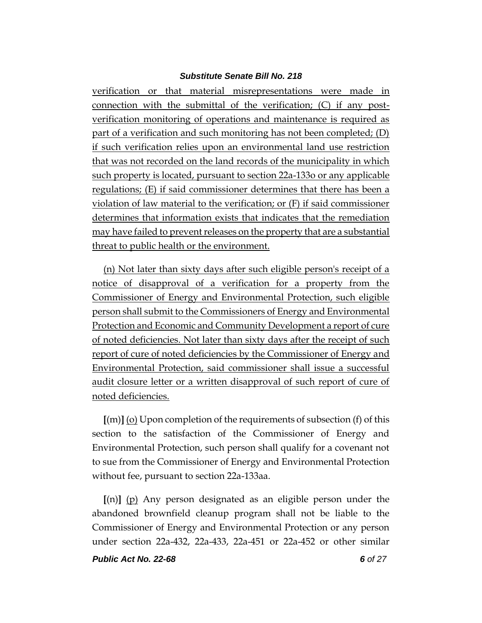verification or that material misrepresentations were made in connection with the submittal of the verification; (C) if any postverification monitoring of operations and maintenance is required as part of a verification and such monitoring has not been completed; (D) if such verification relies upon an environmental land use restriction that was not recorded on the land records of the municipality in which such property is located, pursuant to section 22a-133o or any applicable regulations; (E) if said commissioner determines that there has been a violation of law material to the verification; or (F) if said commissioner determines that information exists that indicates that the remediation may have failed to prevent releases on the property that are a substantial threat to public health or the environment.

(n) Not later than sixty days after such eligible person's receipt of a notice of disapproval of a verification for a property from the Commissioner of Energy and Environmental Protection, such eligible person shall submit to the Commissioners of Energy and Environmental Protection and Economic and Community Development a report of cure of noted deficiencies. Not later than sixty days after the receipt of such report of cure of noted deficiencies by the Commissioner of Energy and Environmental Protection, said commissioner shall issue a successful audit closure letter or a written disapproval of such report of cure of noted deficiencies.

**[**(m)**]** (o) Upon completion of the requirements of subsection (f) of this section to the satisfaction of the Commissioner of Energy and Environmental Protection, such person shall qualify for a covenant not to sue from the Commissioner of Energy and Environmental Protection without fee, pursuant to section 22a-133aa.

**[**(n)**]** (p) Any person designated as an eligible person under the abandoned brownfield cleanup program shall not be liable to the Commissioner of Energy and Environmental Protection or any person under section 22a-432, 22a-433, 22a-451 or 22a-452 or other similar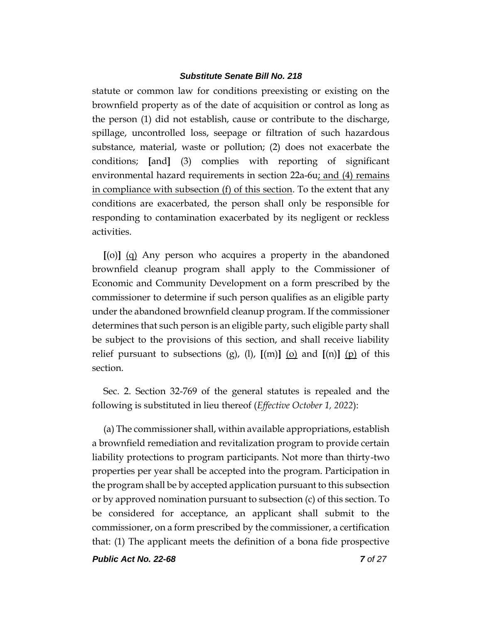statute or common law for conditions preexisting or existing on the brownfield property as of the date of acquisition or control as long as the person (1) did not establish, cause or contribute to the discharge, spillage, uncontrolled loss, seepage or filtration of such hazardous substance, material, waste or pollution; (2) does not exacerbate the conditions; **[**and**]** (3) complies with reporting of significant environmental hazard requirements in section 22a-6u; and (4) remains in compliance with subsection (f) of this section. To the extent that any conditions are exacerbated, the person shall only be responsible for responding to contamination exacerbated by its negligent or reckless activities.

**[**(o)**]** (q) Any person who acquires a property in the abandoned brownfield cleanup program shall apply to the Commissioner of Economic and Community Development on a form prescribed by the commissioner to determine if such person qualifies as an eligible party under the abandoned brownfield cleanup program. If the commissioner determines that such person is an eligible party, such eligible party shall be subject to the provisions of this section, and shall receive liability relief pursuant to subsections (g), (l),  $[(m)]$  (o) and  $[(n)]$  (p) of this section.

Sec. 2. Section 32-769 of the general statutes is repealed and the following is substituted in lieu thereof (*Effective October 1, 2022*):

(a) The commissioner shall, within available appropriations, establish a brownfield remediation and revitalization program to provide certain liability protections to program participants. Not more than thirty-two properties per year shall be accepted into the program. Participation in the program shall be by accepted application pursuant to this subsection or by approved nomination pursuant to subsection (c) of this section. To be considered for acceptance, an applicant shall submit to the commissioner, on a form prescribed by the commissioner, a certification that: (1) The applicant meets the definition of a bona fide prospective

*Public Act No. 22-68 7 of 27*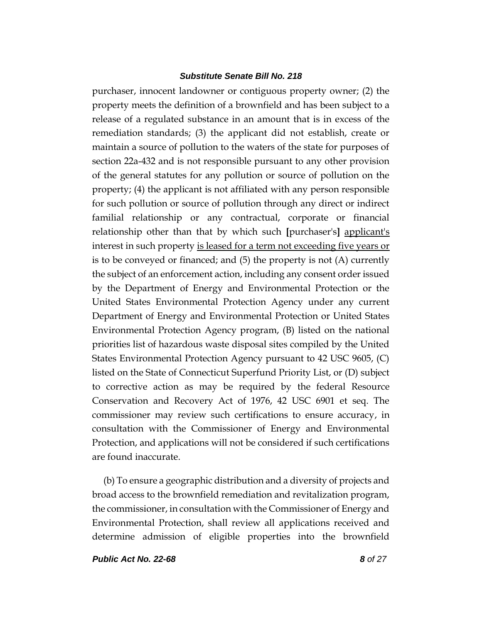purchaser, innocent landowner or contiguous property owner; (2) the property meets the definition of a brownfield and has been subject to a release of a regulated substance in an amount that is in excess of the remediation standards; (3) the applicant did not establish, create or maintain a source of pollution to the waters of the state for purposes of section 22a-432 and is not responsible pursuant to any other provision of the general statutes for any pollution or source of pollution on the property; (4) the applicant is not affiliated with any person responsible for such pollution or source of pollution through any direct or indirect familial relationship or any contractual, corporate or financial relationship other than that by which such **[**purchaser's**]** applicant's interest in such property is leased for a term not exceeding five years or is to be conveyed or financed; and (5) the property is not (A) currently the subject of an enforcement action, including any consent order issued by the Department of Energy and Environmental Protection or the United States Environmental Protection Agency under any current Department of Energy and Environmental Protection or United States Environmental Protection Agency program, (B) listed on the national priorities list of hazardous waste disposal sites compiled by the United States Environmental Protection Agency pursuant to 42 USC 9605, (C) listed on the State of Connecticut Superfund Priority List, or (D) subject to corrective action as may be required by the federal Resource Conservation and Recovery Act of 1976, 42 USC 6901 et seq. The commissioner may review such certifications to ensure accuracy, in consultation with the Commissioner of Energy and Environmental Protection, and applications will not be considered if such certifications are found inaccurate.

(b) To ensure a geographic distribution and a diversity of projects and broad access to the brownfield remediation and revitalization program, the commissioner, in consultation with the Commissioner of Energy and Environmental Protection, shall review all applications received and determine admission of eligible properties into the brownfield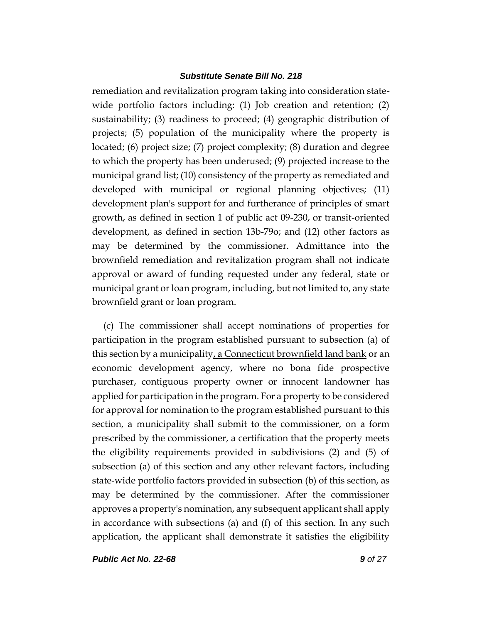remediation and revitalization program taking into consideration statewide portfolio factors including: (1) Job creation and retention; (2) sustainability; (3) readiness to proceed; (4) geographic distribution of projects; (5) population of the municipality where the property is located; (6) project size; (7) project complexity; (8) duration and degree to which the property has been underused; (9) projected increase to the municipal grand list; (10) consistency of the property as remediated and developed with municipal or regional planning objectives; (11) development plan's support for and furtherance of principles of smart growth, as defined in section 1 of public act 09-230, or transit-oriented development, as defined in section 13b-79o; and (12) other factors as may be determined by the commissioner. Admittance into the brownfield remediation and revitalization program shall not indicate approval or award of funding requested under any federal, state or municipal grant or loan program, including, but not limited to, any state brownfield grant or loan program.

(c) The commissioner shall accept nominations of properties for participation in the program established pursuant to subsection (a) of this section by a municipality, a Connecticut brownfield land bank or an economic development agency, where no bona fide prospective purchaser, contiguous property owner or innocent landowner has applied for participation in the program. For a property to be considered for approval for nomination to the program established pursuant to this section, a municipality shall submit to the commissioner, on a form prescribed by the commissioner, a certification that the property meets the eligibility requirements provided in subdivisions (2) and (5) of subsection (a) of this section and any other relevant factors, including state-wide portfolio factors provided in subsection (b) of this section, as may be determined by the commissioner. After the commissioner approves a property's nomination, any subsequent applicant shall apply in accordance with subsections (a) and (f) of this section. In any such application, the applicant shall demonstrate it satisfies the eligibility

*Public Act No. 22-68 9 of 27*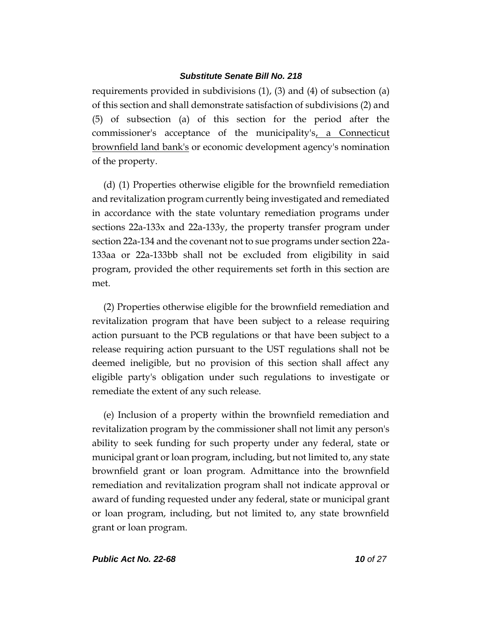requirements provided in subdivisions (1), (3) and (4) of subsection (a) of this section and shall demonstrate satisfaction of subdivisions (2) and (5) of subsection (a) of this section for the period after the commissioner's acceptance of the municipality's, a Connecticut brownfield land bank's or economic development agency's nomination of the property.

(d) (1) Properties otherwise eligible for the brownfield remediation and revitalization program currently being investigated and remediated in accordance with the state voluntary remediation programs under sections 22a-133x and 22a-133y, the property transfer program under section 22a-134 and the covenant not to sue programs under section 22a-133aa or 22a-133bb shall not be excluded from eligibility in said program, provided the other requirements set forth in this section are met.

(2) Properties otherwise eligible for the brownfield remediation and revitalization program that have been subject to a release requiring action pursuant to the PCB regulations or that have been subject to a release requiring action pursuant to the UST regulations shall not be deemed ineligible, but no provision of this section shall affect any eligible party's obligation under such regulations to investigate or remediate the extent of any such release.

(e) Inclusion of a property within the brownfield remediation and revitalization program by the commissioner shall not limit any person's ability to seek funding for such property under any federal, state or municipal grant or loan program, including, but not limited to, any state brownfield grant or loan program. Admittance into the brownfield remediation and revitalization program shall not indicate approval or award of funding requested under any federal, state or municipal grant or loan program, including, but not limited to, any state brownfield grant or loan program.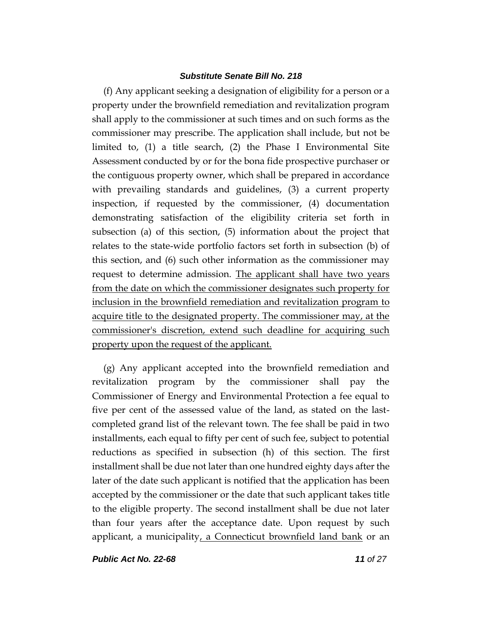(f) Any applicant seeking a designation of eligibility for a person or a property under the brownfield remediation and revitalization program shall apply to the commissioner at such times and on such forms as the commissioner may prescribe. The application shall include, but not be limited to, (1) a title search, (2) the Phase I Environmental Site Assessment conducted by or for the bona fide prospective purchaser or the contiguous property owner, which shall be prepared in accordance with prevailing standards and guidelines, (3) a current property inspection, if requested by the commissioner, (4) documentation demonstrating satisfaction of the eligibility criteria set forth in subsection (a) of this section, (5) information about the project that relates to the state-wide portfolio factors set forth in subsection (b) of this section, and (6) such other information as the commissioner may request to determine admission. The applicant shall have two years from the date on which the commissioner designates such property for inclusion in the brownfield remediation and revitalization program to acquire title to the designated property. The commissioner may, at the commissioner's discretion, extend such deadline for acquiring such property upon the request of the applicant.

(g) Any applicant accepted into the brownfield remediation and revitalization program by the commissioner shall pay the Commissioner of Energy and Environmental Protection a fee equal to five per cent of the assessed value of the land, as stated on the lastcompleted grand list of the relevant town. The fee shall be paid in two installments, each equal to fifty per cent of such fee, subject to potential reductions as specified in subsection (h) of this section. The first installment shall be due not later than one hundred eighty days after the later of the date such applicant is notified that the application has been accepted by the commissioner or the date that such applicant takes title to the eligible property. The second installment shall be due not later than four years after the acceptance date. Upon request by such applicant, a municipality, a Connecticut brownfield land bank or an

*Public Act No. 22-68 11 of 27*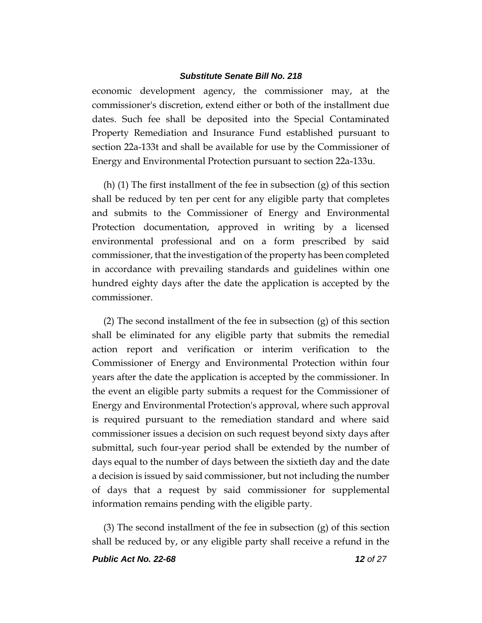economic development agency, the commissioner may, at the commissioner's discretion, extend either or both of the installment due dates. Such fee shall be deposited into the Special Contaminated Property Remediation and Insurance Fund established pursuant to section 22a-133t and shall be available for use by the Commissioner of Energy and Environmental Protection pursuant to section 22a-133u.

(h) (1) The first installment of the fee in subsection (g) of this section shall be reduced by ten per cent for any eligible party that completes and submits to the Commissioner of Energy and Environmental Protection documentation, approved in writing by a licensed environmental professional and on a form prescribed by said commissioner, that the investigation of the property has been completed in accordance with prevailing standards and guidelines within one hundred eighty days after the date the application is accepted by the commissioner.

(2) The second installment of the fee in subsection (g) of this section shall be eliminated for any eligible party that submits the remedial action report and verification or interim verification to the Commissioner of Energy and Environmental Protection within four years after the date the application is accepted by the commissioner. In the event an eligible party submits a request for the Commissioner of Energy and Environmental Protection's approval, where such approval is required pursuant to the remediation standard and where said commissioner issues a decision on such request beyond sixty days after submittal, such four-year period shall be extended by the number of days equal to the number of days between the sixtieth day and the date a decision is issued by said commissioner, but not including the number of days that a request by said commissioner for supplemental information remains pending with the eligible party.

(3) The second installment of the fee in subsection (g) of this section shall be reduced by, or any eligible party shall receive a refund in the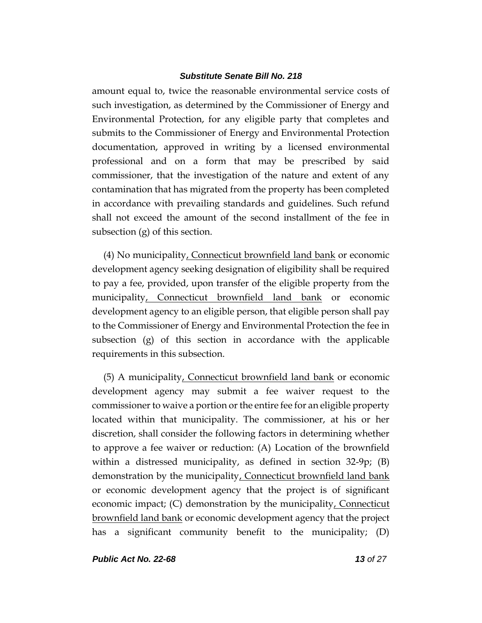amount equal to, twice the reasonable environmental service costs of such investigation, as determined by the Commissioner of Energy and Environmental Protection, for any eligible party that completes and submits to the Commissioner of Energy and Environmental Protection documentation, approved in writing by a licensed environmental professional and on a form that may be prescribed by said commissioner, that the investigation of the nature and extent of any contamination that has migrated from the property has been completed in accordance with prevailing standards and guidelines. Such refund shall not exceed the amount of the second installment of the fee in subsection (g) of this section.

(4) No municipality, Connecticut brownfield land bank or economic development agency seeking designation of eligibility shall be required to pay a fee, provided, upon transfer of the eligible property from the municipality, Connecticut brownfield land bank or economic development agency to an eligible person, that eligible person shall pay to the Commissioner of Energy and Environmental Protection the fee in subsection (g) of this section in accordance with the applicable requirements in this subsection.

(5) A municipality, Connecticut brownfield land bank or economic development agency may submit a fee waiver request to the commissioner to waive a portion or the entire fee for an eligible property located within that municipality. The commissioner, at his or her discretion, shall consider the following factors in determining whether to approve a fee waiver or reduction: (A) Location of the brownfield within a distressed municipality, as defined in section 32-9p; (B) demonstration by the municipality, Connecticut brownfield land bank or economic development agency that the project is of significant economic impact; (C) demonstration by the municipality, Connecticut brownfield land bank or economic development agency that the project has a significant community benefit to the municipality; (D)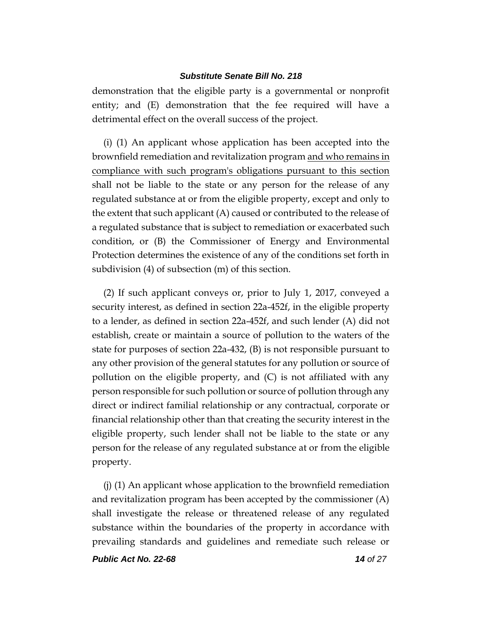demonstration that the eligible party is a governmental or nonprofit entity; and (E) demonstration that the fee required will have a detrimental effect on the overall success of the project.

(i) (1) An applicant whose application has been accepted into the brownfield remediation and revitalization program and who remains in compliance with such program's obligations pursuant to this section shall not be liable to the state or any person for the release of any regulated substance at or from the eligible property, except and only to the extent that such applicant (A) caused or contributed to the release of a regulated substance that is subject to remediation or exacerbated such condition, or (B) the Commissioner of Energy and Environmental Protection determines the existence of any of the conditions set forth in subdivision (4) of subsection (m) of this section.

(2) If such applicant conveys or, prior to July 1, 2017, conveyed a security interest, as defined in section 22a-452f, in the eligible property to a lender, as defined in section 22a-452f, and such lender (A) did not establish, create or maintain a source of pollution to the waters of the state for purposes of section 22a-432, (B) is not responsible pursuant to any other provision of the general statutes for any pollution or source of pollution on the eligible property, and (C) is not affiliated with any person responsible for such pollution or source of pollution through any direct or indirect familial relationship or any contractual, corporate or financial relationship other than that creating the security interest in the eligible property, such lender shall not be liable to the state or any person for the release of any regulated substance at or from the eligible property.

(j) (1) An applicant whose application to the brownfield remediation and revitalization program has been accepted by the commissioner (A) shall investigate the release or threatened release of any regulated substance within the boundaries of the property in accordance with prevailing standards and guidelines and remediate such release or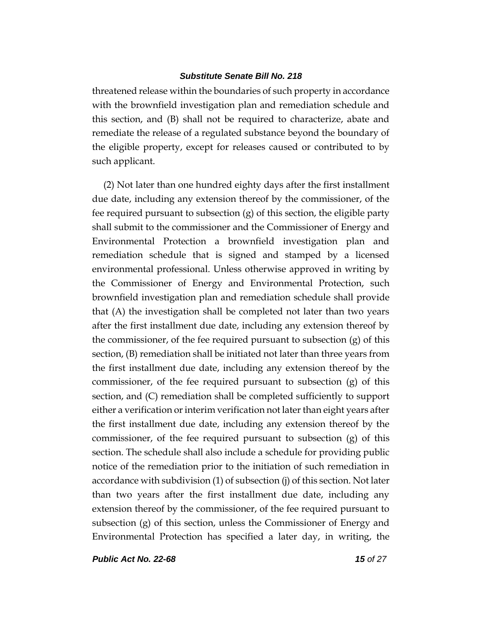threatened release within the boundaries of such property in accordance with the brownfield investigation plan and remediation schedule and this section, and (B) shall not be required to characterize, abate and remediate the release of a regulated substance beyond the boundary of the eligible property, except for releases caused or contributed to by such applicant.

(2) Not later than one hundred eighty days after the first installment due date, including any extension thereof by the commissioner, of the fee required pursuant to subsection (g) of this section, the eligible party shall submit to the commissioner and the Commissioner of Energy and Environmental Protection a brownfield investigation plan and remediation schedule that is signed and stamped by a licensed environmental professional. Unless otherwise approved in writing by the Commissioner of Energy and Environmental Protection, such brownfield investigation plan and remediation schedule shall provide that (A) the investigation shall be completed not later than two years after the first installment due date, including any extension thereof by the commissioner, of the fee required pursuant to subsection  $(g)$  of this section, (B) remediation shall be initiated not later than three years from the first installment due date, including any extension thereof by the commissioner, of the fee required pursuant to subsection (g) of this section, and (C) remediation shall be completed sufficiently to support either a verification or interim verification not later than eight years after the first installment due date, including any extension thereof by the commissioner, of the fee required pursuant to subsection (g) of this section. The schedule shall also include a schedule for providing public notice of the remediation prior to the initiation of such remediation in accordance with subdivision (1) of subsection (j) of this section. Not later than two years after the first installment due date, including any extension thereof by the commissioner, of the fee required pursuant to subsection (g) of this section, unless the Commissioner of Energy and Environmental Protection has specified a later day, in writing, the

*Public Act No. 22-68 15 of 27*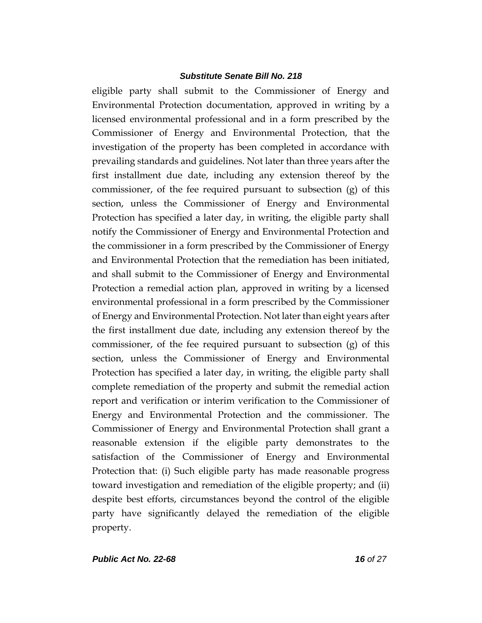eligible party shall submit to the Commissioner of Energy and Environmental Protection documentation, approved in writing by a licensed environmental professional and in a form prescribed by the Commissioner of Energy and Environmental Protection, that the investigation of the property has been completed in accordance with prevailing standards and guidelines. Not later than three years after the first installment due date, including any extension thereof by the commissioner, of the fee required pursuant to subsection (g) of this section, unless the Commissioner of Energy and Environmental Protection has specified a later day, in writing, the eligible party shall notify the Commissioner of Energy and Environmental Protection and the commissioner in a form prescribed by the Commissioner of Energy and Environmental Protection that the remediation has been initiated, and shall submit to the Commissioner of Energy and Environmental Protection a remedial action plan, approved in writing by a licensed environmental professional in a form prescribed by the Commissioner of Energy and Environmental Protection. Not later than eight years after the first installment due date, including any extension thereof by the commissioner, of the fee required pursuant to subsection (g) of this section, unless the Commissioner of Energy and Environmental Protection has specified a later day, in writing, the eligible party shall complete remediation of the property and submit the remedial action report and verification or interim verification to the Commissioner of Energy and Environmental Protection and the commissioner. The Commissioner of Energy and Environmental Protection shall grant a reasonable extension if the eligible party demonstrates to the satisfaction of the Commissioner of Energy and Environmental Protection that: (i) Such eligible party has made reasonable progress toward investigation and remediation of the eligible property; and (ii) despite best efforts, circumstances beyond the control of the eligible party have significantly delayed the remediation of the eligible property.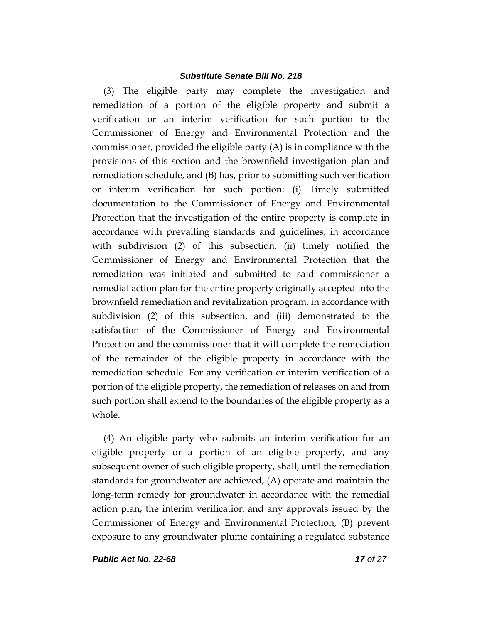(3) The eligible party may complete the investigation and remediation of a portion of the eligible property and submit a verification or an interim verification for such portion to the Commissioner of Energy and Environmental Protection and the commissioner, provided the eligible party (A) is in compliance with the provisions of this section and the brownfield investigation plan and remediation schedule, and (B) has, prior to submitting such verification or interim verification for such portion: (i) Timely submitted documentation to the Commissioner of Energy and Environmental Protection that the investigation of the entire property is complete in accordance with prevailing standards and guidelines, in accordance with subdivision (2) of this subsection, (ii) timely notified the Commissioner of Energy and Environmental Protection that the remediation was initiated and submitted to said commissioner a remedial action plan for the entire property originally accepted into the brownfield remediation and revitalization program, in accordance with subdivision (2) of this subsection, and (iii) demonstrated to the satisfaction of the Commissioner of Energy and Environmental Protection and the commissioner that it will complete the remediation of the remainder of the eligible property in accordance with the remediation schedule. For any verification or interim verification of a portion of the eligible property, the remediation of releases on and from such portion shall extend to the boundaries of the eligible property as a whole.

(4) An eligible party who submits an interim verification for an eligible property or a portion of an eligible property, and any subsequent owner of such eligible property, shall, until the remediation standards for groundwater are achieved, (A) operate and maintain the long-term remedy for groundwater in accordance with the remedial action plan, the interim verification and any approvals issued by the Commissioner of Energy and Environmental Protection, (B) prevent exposure to any groundwater plume containing a regulated substance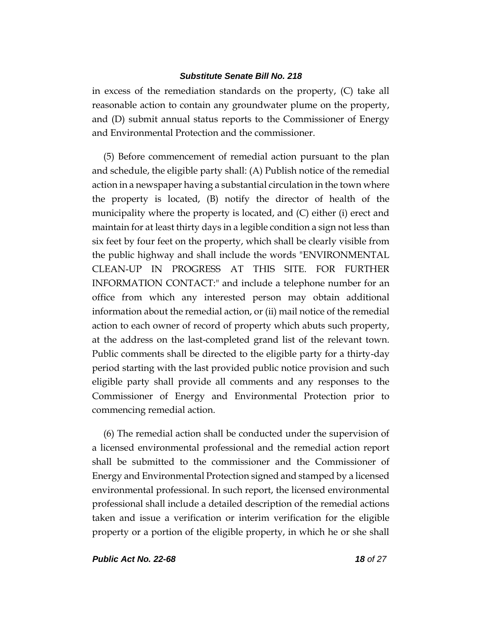in excess of the remediation standards on the property, (C) take all reasonable action to contain any groundwater plume on the property, and (D) submit annual status reports to the Commissioner of Energy and Environmental Protection and the commissioner.

(5) Before commencement of remedial action pursuant to the plan and schedule, the eligible party shall: (A) Publish notice of the remedial action in a newspaper having a substantial circulation in the town where the property is located, (B) notify the director of health of the municipality where the property is located, and (C) either (i) erect and maintain for at least thirty days in a legible condition a sign not less than six feet by four feet on the property, which shall be clearly visible from the public highway and shall include the words "ENVIRONMENTAL CLEAN-UP IN PROGRESS AT THIS SITE. FOR FURTHER INFORMATION CONTACT:" and include a telephone number for an office from which any interested person may obtain additional information about the remedial action, or (ii) mail notice of the remedial action to each owner of record of property which abuts such property, at the address on the last-completed grand list of the relevant town. Public comments shall be directed to the eligible party for a thirty-day period starting with the last provided public notice provision and such eligible party shall provide all comments and any responses to the Commissioner of Energy and Environmental Protection prior to commencing remedial action.

(6) The remedial action shall be conducted under the supervision of a licensed environmental professional and the remedial action report shall be submitted to the commissioner and the Commissioner of Energy and Environmental Protection signed and stamped by a licensed environmental professional. In such report, the licensed environmental professional shall include a detailed description of the remedial actions taken and issue a verification or interim verification for the eligible property or a portion of the eligible property, in which he or she shall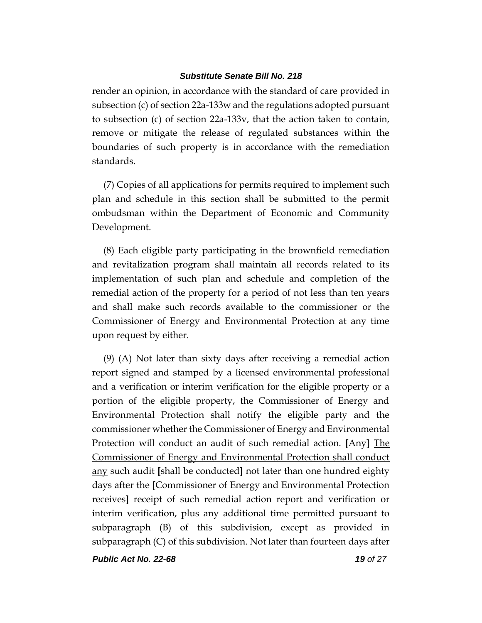render an opinion, in accordance with the standard of care provided in subsection (c) of section 22a-133w and the regulations adopted pursuant to subsection (c) of section 22a-133v, that the action taken to contain, remove or mitigate the release of regulated substances within the boundaries of such property is in accordance with the remediation standards.

(7) Copies of all applications for permits required to implement such plan and schedule in this section shall be submitted to the permit ombudsman within the Department of Economic and Community Development.

(8) Each eligible party participating in the brownfield remediation and revitalization program shall maintain all records related to its implementation of such plan and schedule and completion of the remedial action of the property for a period of not less than ten years and shall make such records available to the commissioner or the Commissioner of Energy and Environmental Protection at any time upon request by either.

(9) (A) Not later than sixty days after receiving a remedial action report signed and stamped by a licensed environmental professional and a verification or interim verification for the eligible property or a portion of the eligible property, the Commissioner of Energy and Environmental Protection shall notify the eligible party and the commissioner whether the Commissioner of Energy and Environmental Protection will conduct an audit of such remedial action. **[**Any**]** The Commissioner of Energy and Environmental Protection shall conduct any such audit **[**shall be conducted**]** not later than one hundred eighty days after the **[**Commissioner of Energy and Environmental Protection receives**]** receipt of such remedial action report and verification or interim verification, plus any additional time permitted pursuant to subparagraph (B) of this subdivision, except as provided in subparagraph (C) of this subdivision. Not later than fourteen days after

*Public Act No. 22-68 19 of 27*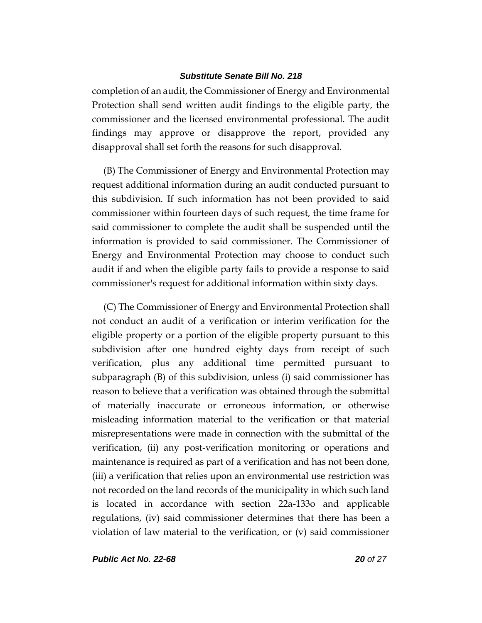completion of an audit, the Commissioner of Energy and Environmental Protection shall send written audit findings to the eligible party, the commissioner and the licensed environmental professional. The audit findings may approve or disapprove the report, provided any disapproval shall set forth the reasons for such disapproval.

(B) The Commissioner of Energy and Environmental Protection may request additional information during an audit conducted pursuant to this subdivision. If such information has not been provided to said commissioner within fourteen days of such request, the time frame for said commissioner to complete the audit shall be suspended until the information is provided to said commissioner. The Commissioner of Energy and Environmental Protection may choose to conduct such audit if and when the eligible party fails to provide a response to said commissioner's request for additional information within sixty days.

(C) The Commissioner of Energy and Environmental Protection shall not conduct an audit of a verification or interim verification for the eligible property or a portion of the eligible property pursuant to this subdivision after one hundred eighty days from receipt of such verification, plus any additional time permitted pursuant to subparagraph (B) of this subdivision, unless (i) said commissioner has reason to believe that a verification was obtained through the submittal of materially inaccurate or erroneous information, or otherwise misleading information material to the verification or that material misrepresentations were made in connection with the submittal of the verification, (ii) any post-verification monitoring or operations and maintenance is required as part of a verification and has not been done, (iii) a verification that relies upon an environmental use restriction was not recorded on the land records of the municipality in which such land is located in accordance with section 22a-133o and applicable regulations, (iv) said commissioner determines that there has been a violation of law material to the verification, or (v) said commissioner

*Public Act No. 22-68 20 of 27*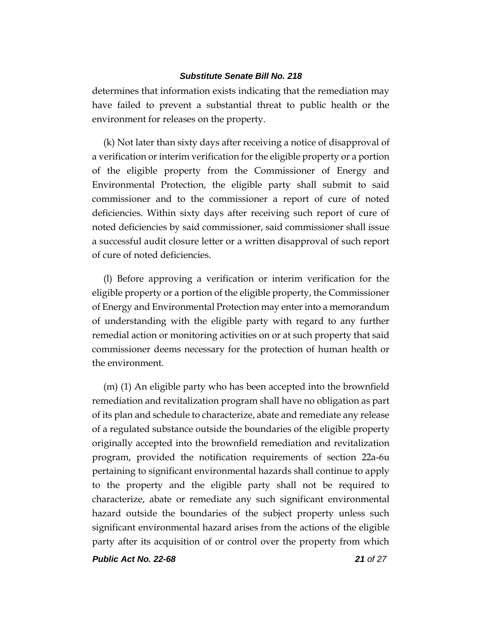determines that information exists indicating that the remediation may have failed to prevent a substantial threat to public health or the environment for releases on the property.

(k) Not later than sixty days after receiving a notice of disapproval of a verification or interim verification for the eligible property or a portion of the eligible property from the Commissioner of Energy and Environmental Protection, the eligible party shall submit to said commissioner and to the commissioner a report of cure of noted deficiencies. Within sixty days after receiving such report of cure of noted deficiencies by said commissioner, said commissioner shall issue a successful audit closure letter or a written disapproval of such report of cure of noted deficiencies.

(l) Before approving a verification or interim verification for the eligible property or a portion of the eligible property, the Commissioner of Energy and Environmental Protection may enter into a memorandum of understanding with the eligible party with regard to any further remedial action or monitoring activities on or at such property that said commissioner deems necessary for the protection of human health or the environment.

(m) (1) An eligible party who has been accepted into the brownfield remediation and revitalization program shall have no obligation as part of its plan and schedule to characterize, abate and remediate any release of a regulated substance outside the boundaries of the eligible property originally accepted into the brownfield remediation and revitalization program, provided the notification requirements of section 22a-6u pertaining to significant environmental hazards shall continue to apply to the property and the eligible party shall not be required to characterize, abate or remediate any such significant environmental hazard outside the boundaries of the subject property unless such significant environmental hazard arises from the actions of the eligible party after its acquisition of or control over the property from which

*Public Act No. 22-68 21 of 27*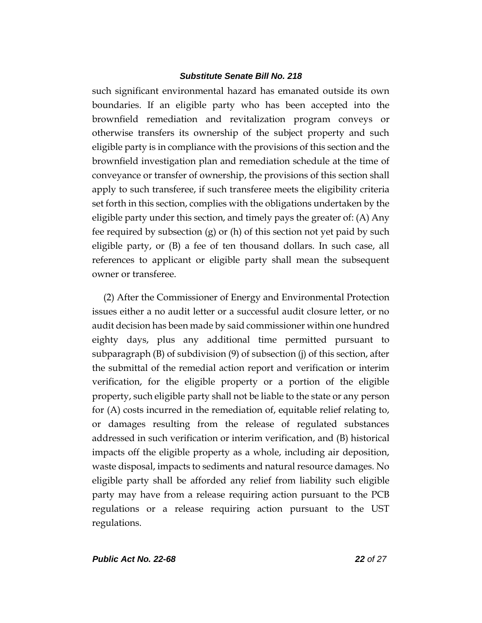such significant environmental hazard has emanated outside its own boundaries. If an eligible party who has been accepted into the brownfield remediation and revitalization program conveys or otherwise transfers its ownership of the subject property and such eligible party is in compliance with the provisions of this section and the brownfield investigation plan and remediation schedule at the time of conveyance or transfer of ownership, the provisions of this section shall apply to such transferee, if such transferee meets the eligibility criteria set forth in this section, complies with the obligations undertaken by the eligible party under this section, and timely pays the greater of: (A) Any fee required by subsection (g) or (h) of this section not yet paid by such eligible party, or (B) a fee of ten thousand dollars. In such case, all references to applicant or eligible party shall mean the subsequent owner or transferee.

(2) After the Commissioner of Energy and Environmental Protection issues either a no audit letter or a successful audit closure letter, or no audit decision has been made by said commissioner within one hundred eighty days, plus any additional time permitted pursuant to subparagraph (B) of subdivision (9) of subsection (j) of this section, after the submittal of the remedial action report and verification or interim verification, for the eligible property or a portion of the eligible property, such eligible party shall not be liable to the state or any person for (A) costs incurred in the remediation of, equitable relief relating to, or damages resulting from the release of regulated substances addressed in such verification or interim verification, and (B) historical impacts off the eligible property as a whole, including air deposition, waste disposal, impacts to sediments and natural resource damages. No eligible party shall be afforded any relief from liability such eligible party may have from a release requiring action pursuant to the PCB regulations or a release requiring action pursuant to the UST regulations.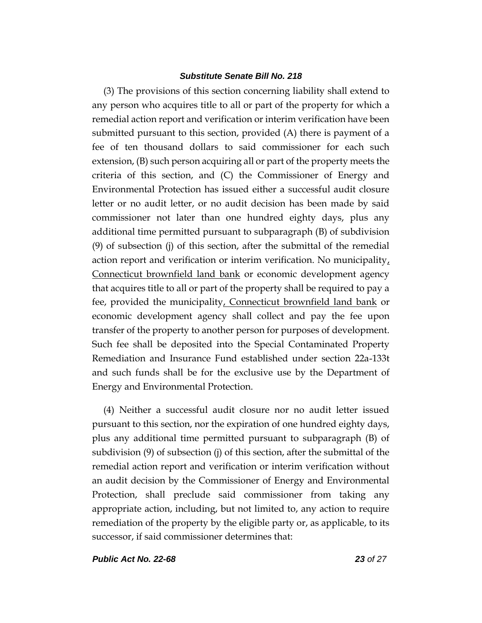(3) The provisions of this section concerning liability shall extend to any person who acquires title to all or part of the property for which a remedial action report and verification or interim verification have been submitted pursuant to this section, provided (A) there is payment of a fee of ten thousand dollars to said commissioner for each such extension, (B) such person acquiring all or part of the property meets the criteria of this section, and (C) the Commissioner of Energy and Environmental Protection has issued either a successful audit closure letter or no audit letter, or no audit decision has been made by said commissioner not later than one hundred eighty days, plus any additional time permitted pursuant to subparagraph (B) of subdivision (9) of subsection (j) of this section, after the submittal of the remedial action report and verification or interim verification. No municipality, Connecticut brownfield land bank or economic development agency that acquires title to all or part of the property shall be required to pay a fee, provided the municipality, Connecticut brownfield land bank or economic development agency shall collect and pay the fee upon transfer of the property to another person for purposes of development. Such fee shall be deposited into the Special Contaminated Property Remediation and Insurance Fund established under section 22a-133t and such funds shall be for the exclusive use by the Department of Energy and Environmental Protection.

(4) Neither a successful audit closure nor no audit letter issued pursuant to this section, nor the expiration of one hundred eighty days, plus any additional time permitted pursuant to subparagraph (B) of subdivision (9) of subsection (j) of this section, after the submittal of the remedial action report and verification or interim verification without an audit decision by the Commissioner of Energy and Environmental Protection, shall preclude said commissioner from taking any appropriate action, including, but not limited to, any action to require remediation of the property by the eligible party or, as applicable, to its successor, if said commissioner determines that:

*Public Act No. 22-68 23 of 27*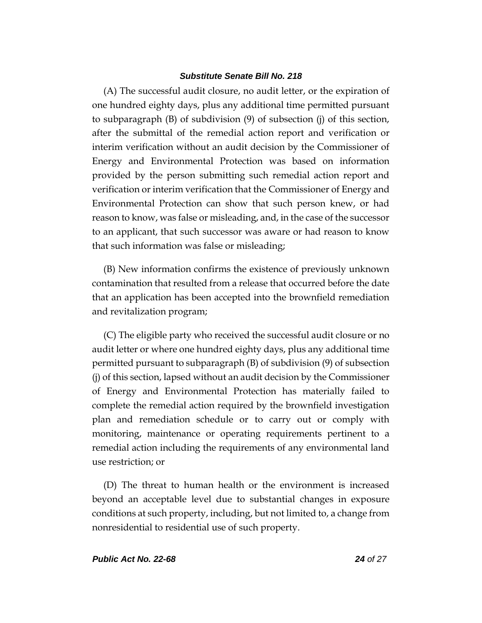(A) The successful audit closure, no audit letter, or the expiration of one hundred eighty days, plus any additional time permitted pursuant to subparagraph (B) of subdivision (9) of subsection (j) of this section, after the submittal of the remedial action report and verification or interim verification without an audit decision by the Commissioner of Energy and Environmental Protection was based on information provided by the person submitting such remedial action report and verification or interim verification that the Commissioner of Energy and Environmental Protection can show that such person knew, or had reason to know, was false or misleading, and, in the case of the successor to an applicant, that such successor was aware or had reason to know that such information was false or misleading;

(B) New information confirms the existence of previously unknown contamination that resulted from a release that occurred before the date that an application has been accepted into the brownfield remediation and revitalization program;

(C) The eligible party who received the successful audit closure or no audit letter or where one hundred eighty days, plus any additional time permitted pursuant to subparagraph (B) of subdivision (9) of subsection (j) of this section, lapsed without an audit decision by the Commissioner of Energy and Environmental Protection has materially failed to complete the remedial action required by the brownfield investigation plan and remediation schedule or to carry out or comply with monitoring, maintenance or operating requirements pertinent to a remedial action including the requirements of any environmental land use restriction; or

(D) The threat to human health or the environment is increased beyond an acceptable level due to substantial changes in exposure conditions at such property, including, but not limited to, a change from nonresidential to residential use of such property.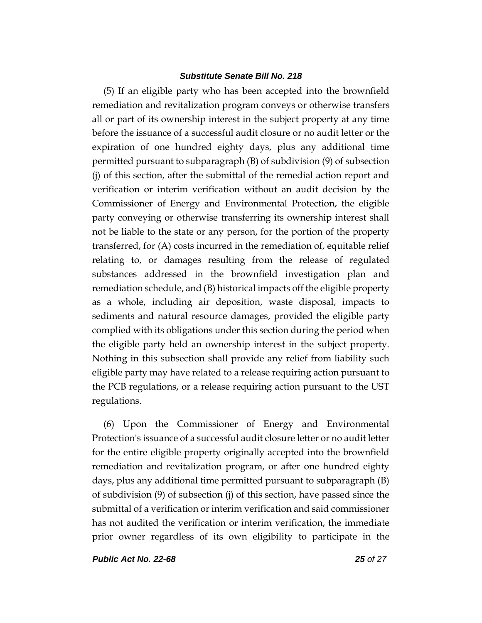(5) If an eligible party who has been accepted into the brownfield remediation and revitalization program conveys or otherwise transfers all or part of its ownership interest in the subject property at any time before the issuance of a successful audit closure or no audit letter or the expiration of one hundred eighty days, plus any additional time permitted pursuant to subparagraph (B) of subdivision (9) of subsection (j) of this section, after the submittal of the remedial action report and verification or interim verification without an audit decision by the Commissioner of Energy and Environmental Protection, the eligible party conveying or otherwise transferring its ownership interest shall not be liable to the state or any person, for the portion of the property transferred, for (A) costs incurred in the remediation of, equitable relief relating to, or damages resulting from the release of regulated substances addressed in the brownfield investigation plan and remediation schedule, and (B) historical impacts off the eligible property as a whole, including air deposition, waste disposal, impacts to sediments and natural resource damages, provided the eligible party complied with its obligations under this section during the period when the eligible party held an ownership interest in the subject property. Nothing in this subsection shall provide any relief from liability such eligible party may have related to a release requiring action pursuant to the PCB regulations, or a release requiring action pursuant to the UST regulations.

(6) Upon the Commissioner of Energy and Environmental Protection's issuance of a successful audit closure letter or no audit letter for the entire eligible property originally accepted into the brownfield remediation and revitalization program, or after one hundred eighty days, plus any additional time permitted pursuant to subparagraph (B) of subdivision (9) of subsection (j) of this section, have passed since the submittal of a verification or interim verification and said commissioner has not audited the verification or interim verification, the immediate prior owner regardless of its own eligibility to participate in the

*Public Act No. 22-68 25 of 27*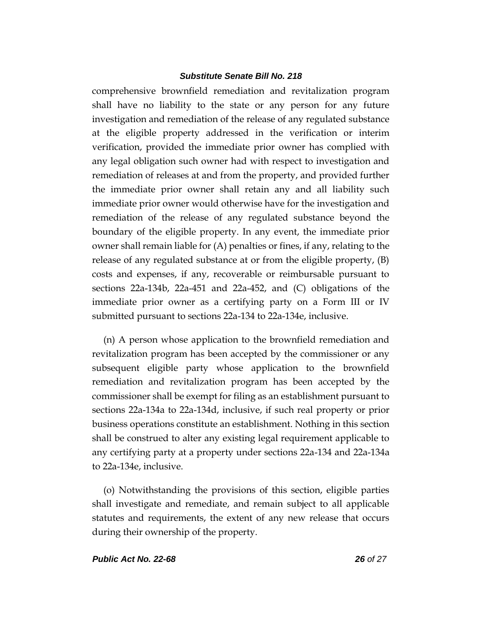comprehensive brownfield remediation and revitalization program shall have no liability to the state or any person for any future investigation and remediation of the release of any regulated substance at the eligible property addressed in the verification or interim verification, provided the immediate prior owner has complied with any legal obligation such owner had with respect to investigation and remediation of releases at and from the property, and provided further the immediate prior owner shall retain any and all liability such immediate prior owner would otherwise have for the investigation and remediation of the release of any regulated substance beyond the boundary of the eligible property. In any event, the immediate prior owner shall remain liable for (A) penalties or fines, if any, relating to the release of any regulated substance at or from the eligible property, (B) costs and expenses, if any, recoverable or reimbursable pursuant to sections 22a-134b, 22a-451 and 22a-452, and (C) obligations of the immediate prior owner as a certifying party on a Form III or IV submitted pursuant to sections 22a-134 to 22a-134e, inclusive.

(n) A person whose application to the brownfield remediation and revitalization program has been accepted by the commissioner or any subsequent eligible party whose application to the brownfield remediation and revitalization program has been accepted by the commissioner shall be exempt for filing as an establishment pursuant to sections 22a-134a to 22a-134d, inclusive, if such real property or prior business operations constitute an establishment. Nothing in this section shall be construed to alter any existing legal requirement applicable to any certifying party at a property under sections 22a-134 and 22a-134a to 22a-134e, inclusive.

(o) Notwithstanding the provisions of this section, eligible parties shall investigate and remediate, and remain subject to all applicable statutes and requirements, the extent of any new release that occurs during their ownership of the property.